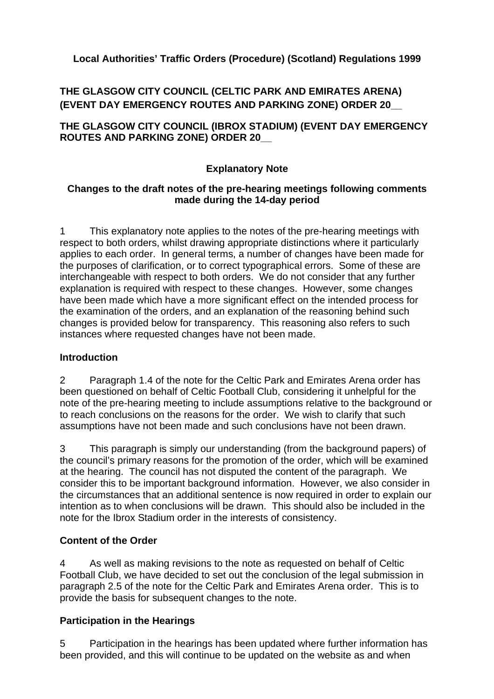## **Local Authorities' Traffic Orders (Procedure) (Scotland) Regulations 1999**

# **THE GLASGOW CITY COUNCIL (CELTIC PARK AND EMIRATES ARENA) (EVENT DAY EMERGENCY ROUTES AND PARKING ZONE) ORDER 20\_\_**

**THE GLASGOW CITY COUNCIL (IBROX STADIUM) (EVENT DAY EMERGENCY ROUTES AND PARKING ZONE) ORDER 20\_\_** 

## **Explanatory Note**

#### **Changes to the draft notes of the pre-hearing meetings following comments made during the 14-day period**

1 This explanatory note applies to the notes of the pre-hearing meetings with respect to both orders, whilst drawing appropriate distinctions where it particularly applies to each order. In general terms, a number of changes have been made for the purposes of clarification, or to correct typographical errors. Some of these are interchangeable with respect to both orders. We do not consider that any further explanation is required with respect to these changes. However, some changes have been made which have a more significant effect on the intended process for the examination of the orders, and an explanation of the reasoning behind such changes is provided below for transparency. This reasoning also refers to such instances where requested changes have not been made.

#### **Introduction**

2 Paragraph 1.4 of the note for the Celtic Park and Emirates Arena order has been questioned on behalf of Celtic Football Club, considering it unhelpful for the note of the pre-hearing meeting to include assumptions relative to the background or to reach conclusions on the reasons for the order. We wish to clarify that such assumptions have not been made and such conclusions have not been drawn.

3 This paragraph is simply our understanding (from the background papers) of the council's primary reasons for the promotion of the order, which will be examined at the hearing. The council has not disputed the content of the paragraph. We consider this to be important background information. However, we also consider in the circumstances that an additional sentence is now required in order to explain our intention as to when conclusions will be drawn. This should also be included in the note for the Ibrox Stadium order in the interests of consistency.

#### **Content of the Order**

4 As well as making revisions to the note as requested on behalf of Celtic Football Club, we have decided to set out the conclusion of the legal submission in paragraph 2.5 of the note for the Celtic Park and Emirates Arena order. This is to provide the basis for subsequent changes to the note.

#### **Participation in the Hearings**

5 Participation in the hearings has been updated where further information has been provided, and this will continue to be updated on the website as and when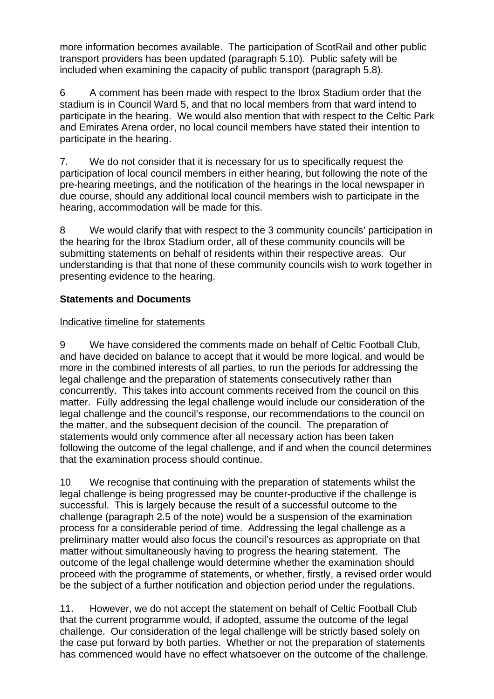more information becomes available. The participation of ScotRail and other public transport providers has been updated (paragraph 5.10). Public safety will be included when examining the capacity of public transport (paragraph 5.8).

6 A comment has been made with respect to the Ibrox Stadium order that the stadium is in Council Ward 5, and that no local members from that ward intend to participate in the hearing. We would also mention that with respect to the Celtic Park and Emirates Arena order, no local council members have stated their intention to participate in the hearing.

7. We do not consider that it is necessary for us to specifically request the participation of local council members in either hearing, but following the note of the pre-hearing meetings, and the notification of the hearings in the local newspaper in due course, should any additional local council members wish to participate in the hearing, accommodation will be made for this.

8 We would clarify that with respect to the 3 community councils' participation in the hearing for the Ibrox Stadium order, all of these community councils will be submitting statements on behalf of residents within their respective areas. Our understanding is that that none of these community councils wish to work together in presenting evidence to the hearing.

## **Statements and Documents**

## Indicative timeline for statements

9 We have considered the comments made on behalf of Celtic Football Club, and have decided on balance to accept that it would be more logical, and would be more in the combined interests of all parties, to run the periods for addressing the legal challenge and the preparation of statements consecutively rather than concurrently. This takes into account comments received from the council on this matter. Fully addressing the legal challenge would include our consideration of the legal challenge and the council's response, our recommendations to the council on the matter, and the subsequent decision of the council. The preparation of statements would only commence after all necessary action has been taken following the outcome of the legal challenge, and if and when the council determines that the examination process should continue.

10 We recognise that continuing with the preparation of statements whilst the legal challenge is being progressed may be counter-productive if the challenge is successful. This is largely because the result of a successful outcome to the challenge (paragraph 2.5 of the note) would be a suspension of the examination process for a considerable period of time. Addressing the legal challenge as a preliminary matter would also focus the council's resources as appropriate on that matter without simultaneously having to progress the hearing statement. The outcome of the legal challenge would determine whether the examination should proceed with the programme of statements, or whether, firstly, a revised order would be the subject of a further notification and objection period under the regulations.

11. However, we do not accept the statement on behalf of Celtic Football Club that the current programme would, if adopted, assume the outcome of the legal challenge. Our consideration of the legal challenge will be strictly based solely on the case put forward by both parties. Whether or not the preparation of statements has commenced would have no effect whatsoever on the outcome of the challenge.